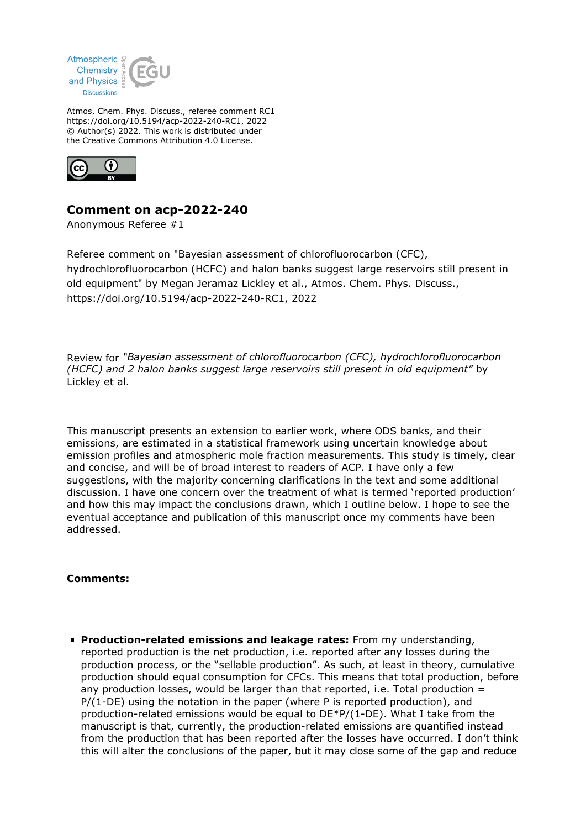

Atmos. Chem. Phys. Discuss., referee comment RC1 https://doi.org/10.5194/acp-2022-240-RC1, 2022 © Author(s) 2022. This work is distributed under the Creative Commons Attribution 4.0 License.



## **Comment on acp-2022-240**

Anonymous Referee #1

Referee comment on "Bayesian assessment of chlorofluorocarbon (CFC), hydrochlorofluorocarbon (HCFC) and halon banks suggest large reservoirs still present in old equipment" by Megan Jeramaz Lickley et al., Atmos. Chem. Phys. Discuss., https://doi.org/10.5194/acp-2022-240-RC1, 2022

Review for *"Bayesian assessment of chlorofluorocarbon (CFC), hydrochlorofluorocarbon (HCFC) and 2 halon banks suggest large reservoirs still present in old equipment"* by Lickley et al.

This manuscript presents an extension to earlier work, where ODS banks, and their emissions, are estimated in a statistical framework using uncertain knowledge about emission profiles and atmospheric mole fraction measurements. This study is timely, clear and concise, and will be of broad interest to readers of ACP. I have only a few suggestions, with the majority concerning clarifications in the text and some additional discussion. I have one concern over the treatment of what is termed 'reported production' and how this may impact the conclusions drawn, which I outline below. I hope to see the eventual acceptance and publication of this manuscript once my comments have been addressed.

## **Comments:**

**Production-related emissions and leakage rates:** From my understanding, reported production is the net production, i.e. reported after any losses during the production process, or the "sellable production". As such, at least in theory, cumulative production should equal consumption for CFCs. This means that total production, before any production losses, would be larger than that reported, i.e. Total production  $=$  $P/(1-DE)$  using the notation in the paper (where P is reported production), and production-related emissions would be equal to DE\*P/(1-DE). What I take from the manuscript is that, currently, the production-related emissions are quantified instead from the production that has been reported after the losses have occurred. I don't think this will alter the conclusions of the paper, but it may close some of the gap and reduce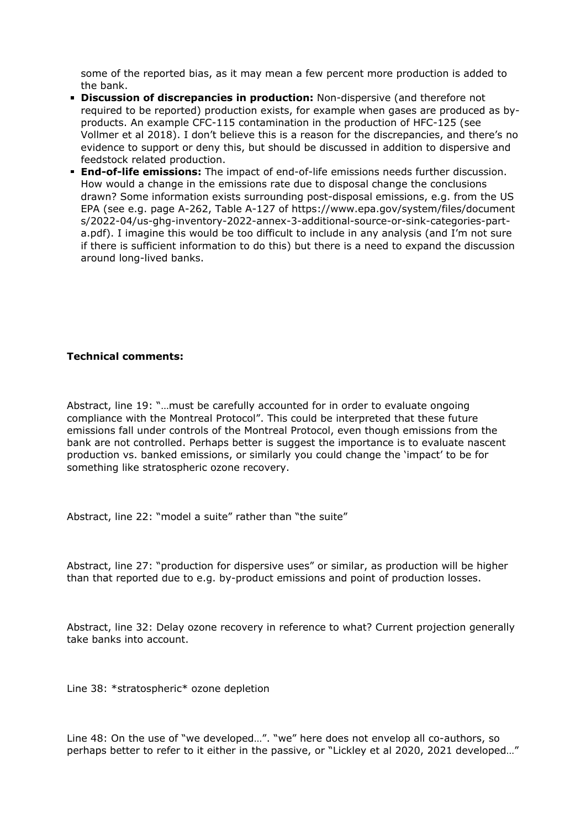some of the reported bias, as it may mean a few percent more production is added to the bank.

- **Discussion of discrepancies in production:** Non-dispersive (and therefore not required to be reported) production exists, for example when gases are produced as byproducts. An example CFC-115 contamination in the production of HFC-125 (see Vollmer et al 2018). I don't believe this is a reason for the discrepancies, and there's no evidence to support or deny this, but should be discussed in addition to dispersive and feedstock related production.
- **End-of-life emissions:** The impact of end-of-life emissions needs further discussion. How would a change in the emissions rate due to disposal change the conclusions drawn? Some information exists surrounding post-disposal emissions, e.g. from the US EPA (see e.g. page A-262, Table A-127 of https://www.epa.gov/system/files/document s/2022-04/us-ghg-inventory-2022-annex-3-additional-source-or-sink-categories-parta.pdf). I imagine this would be too difficult to include in any analysis (and I'm not sure if there is sufficient information to do this) but there is a need to expand the discussion around long-lived banks.

## **Technical comments:**

Abstract, line 19: "…must be carefully accounted for in order to evaluate ongoing compliance with the Montreal Protocol". This could be interpreted that these future emissions fall under controls of the Montreal Protocol, even though emissions from the bank are not controlled. Perhaps better is suggest the importance is to evaluate nascent production vs. banked emissions, or similarly you could change the 'impact' to be for something like stratospheric ozone recovery.

Abstract, line 22: "model a suite" rather than "the suite"

Abstract, line 27: "production for dispersive uses" or similar, as production will be higher than that reported due to e.g. by-product emissions and point of production losses.

Abstract, line 32: Delay ozone recovery in reference to what? Current projection generally take banks into account.

Line 38: \*stratospheric\* ozone depletion

Line 48: On the use of "we developed…". "we" here does not envelop all co-authors, so perhaps better to refer to it either in the passive, or "Lickley et al 2020, 2021 developed…"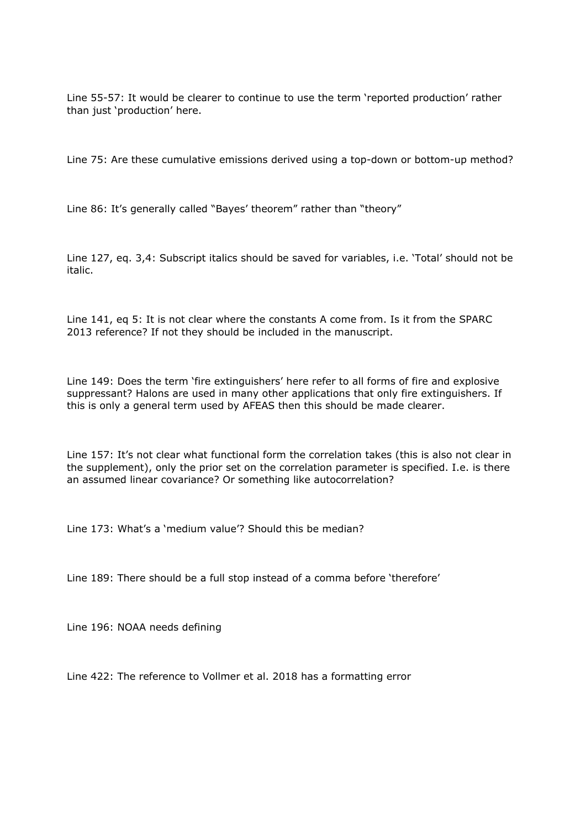Line 55-57: It would be clearer to continue to use the term 'reported production' rather than just 'production' here.

Line 75: Are these cumulative emissions derived using a top-down or bottom-up method?

Line 86: It's generally called "Bayes' theorem" rather than "theory"

Line 127, eq. 3,4: Subscript italics should be saved for variables, i.e. 'Total' should not be italic.

Line 141, eq 5: It is not clear where the constants A come from. Is it from the SPARC 2013 reference? If not they should be included in the manuscript.

Line 149: Does the term 'fire extinguishers' here refer to all forms of fire and explosive suppressant? Halons are used in many other applications that only fire extinguishers. If this is only a general term used by AFEAS then this should be made clearer.

Line 157: It's not clear what functional form the correlation takes (this is also not clear in the supplement), only the prior set on the correlation parameter is specified. I.e. is there an assumed linear covariance? Or something like autocorrelation?

Line 173: What's a 'medium value'? Should this be median?

Line 189: There should be a full stop instead of a comma before 'therefore'

Line 196: NOAA needs defining

Line 422: The reference to Vollmer et al. 2018 has a formatting error